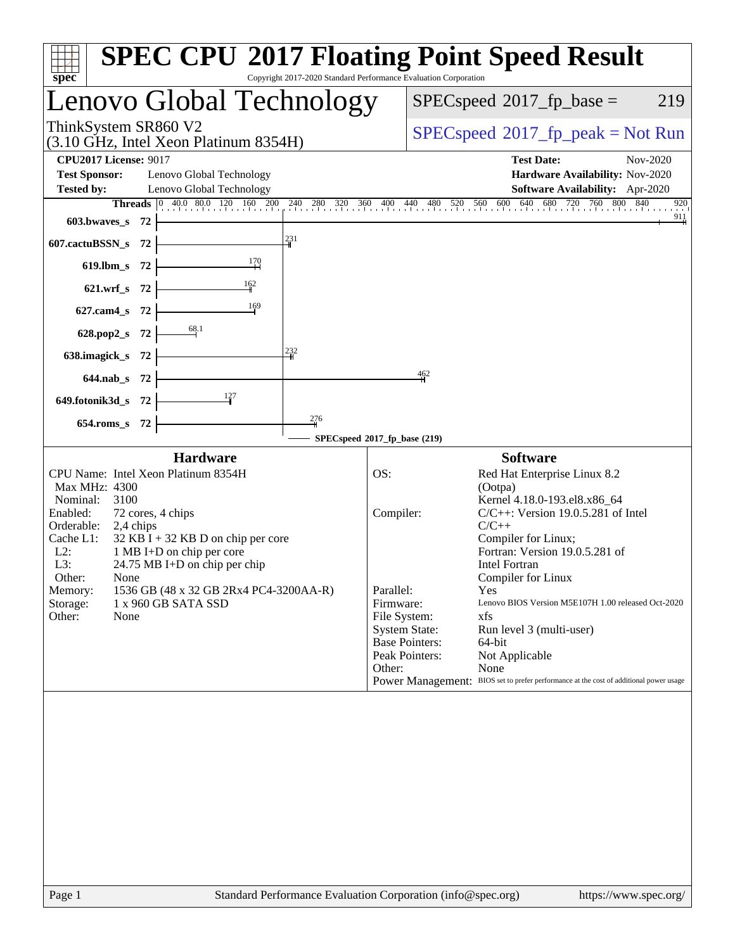| $spec^*$                                                                                                                                                                                                                                                                                                                                                                                             | <b>SPEC CPU®2017 Floating Point Speed Result</b><br>Copyright 2017-2020 Standard Performance Evaluation Corporation                                                                                                                                                                                                                                                                                                                                                                                                                                                                                         |
|------------------------------------------------------------------------------------------------------------------------------------------------------------------------------------------------------------------------------------------------------------------------------------------------------------------------------------------------------------------------------------------------------|-------------------------------------------------------------------------------------------------------------------------------------------------------------------------------------------------------------------------------------------------------------------------------------------------------------------------------------------------------------------------------------------------------------------------------------------------------------------------------------------------------------------------------------------------------------------------------------------------------------|
| Lenovo Global Technology                                                                                                                                                                                                                                                                                                                                                                             | $SPEC speed^{\circ}2017\_fp\_base =$<br>219                                                                                                                                                                                                                                                                                                                                                                                                                                                                                                                                                                 |
| ThinkSystem SR860 V2<br>$(3.10 \text{ GHz}, \text{Intel Xeon Platinum } 8354\text{H})$                                                                                                                                                                                                                                                                                                               | $SPEC speed^{\circ}2017\_fp\_peak = Not Run$                                                                                                                                                                                                                                                                                                                                                                                                                                                                                                                                                                |
| <b>CPU2017 License: 9017</b><br><b>Test Sponsor:</b><br>Lenovo Global Technology<br>Lenovo Global Technology<br><b>Tested by:</b>                                                                                                                                                                                                                                                                    | <b>Test Date:</b><br>Nov-2020<br>Hardware Availability: Nov-2020<br>Software Availability: Apr-2020                                                                                                                                                                                                                                                                                                                                                                                                                                                                                                         |
| <b>Threads</b> $\begin{bmatrix} 0 & 40.0 & 80.0 & 120 & 160 & 200 \end{bmatrix}$<br>603.bwaves_s<br>- 72                                                                                                                                                                                                                                                                                             | 240 280 320 360 400 440 480 520 560 600 640 680 720 760 800 840<br>920<br>$\frac{911}{4}$                                                                                                                                                                                                                                                                                                                                                                                                                                                                                                                   |
| 231<br>607.cactuBSSN_s<br>72                                                                                                                                                                                                                                                                                                                                                                         |                                                                                                                                                                                                                                                                                                                                                                                                                                                                                                                                                                                                             |
| $\frac{170}{2}$<br>$619$ .lbm_s<br>72<br>$\frac{162}{1}$                                                                                                                                                                                                                                                                                                                                             |                                                                                                                                                                                                                                                                                                                                                                                                                                                                                                                                                                                                             |
| -72<br>$621.wrf$ s<br>$\frac{169}{1}$<br>$627$ .cam $4 \text{ s}$<br>-72                                                                                                                                                                                                                                                                                                                             |                                                                                                                                                                                                                                                                                                                                                                                                                                                                                                                                                                                                             |
| 628.pop2_s<br>-72                                                                                                                                                                                                                                                                                                                                                                                    |                                                                                                                                                                                                                                                                                                                                                                                                                                                                                                                                                                                                             |
| 232<br>638.imagick_s<br>- 72                                                                                                                                                                                                                                                                                                                                                                         |                                                                                                                                                                                                                                                                                                                                                                                                                                                                                                                                                                                                             |
| 644.nab_s 72<br>127                                                                                                                                                                                                                                                                                                                                                                                  | 462                                                                                                                                                                                                                                                                                                                                                                                                                                                                                                                                                                                                         |
| 649.fotonik3d_s 72<br>276<br>654.roms_s 72                                                                                                                                                                                                                                                                                                                                                           |                                                                                                                                                                                                                                                                                                                                                                                                                                                                                                                                                                                                             |
| <b>Hardware</b>                                                                                                                                                                                                                                                                                                                                                                                      | SPECspeed®2017_fp_base (219)<br><b>Software</b>                                                                                                                                                                                                                                                                                                                                                                                                                                                                                                                                                             |
| CPU Name: Intel Xeon Platinum 8354H<br>Max MHz: 4300<br>Nominal:<br>3100<br>Enabled:<br>72 cores, 4 chips<br>Orderable:<br>2,4 chips<br>Cache L1:<br>$32$ KB I + 32 KB D on chip per core<br>$L2$ :<br>1 MB I+D on chip per core<br>L3:<br>24.75 MB I+D on chip per chip<br>Other:<br>None<br>1536 GB (48 x 32 GB 2Rx4 PC4-3200AA-R)<br>Memory:<br>Storage:<br>1 x 960 GB SATA SSD<br>Other:<br>None | OS:<br>Red Hat Enterprise Linux 8.2<br>(Ootpa)<br>Kernel 4.18.0-193.el8.x86_64<br>$C/C++$ : Version 19.0.5.281 of Intel<br>Compiler:<br>$C/C++$<br>Compiler for Linux;<br>Fortran: Version 19.0.5.281 of<br><b>Intel Fortran</b><br>Compiler for Linux<br>Parallel:<br>Yes<br>Firmware:<br>Lenovo BIOS Version M5E107H 1.00 released Oct-2020<br>File System:<br>xfs<br><b>System State:</b><br>Run level 3 (multi-user)<br><b>Base Pointers:</b><br>64-bit<br>Peak Pointers:<br>Not Applicable<br>Other:<br>None<br>Power Management: BIOS set to prefer performance at the cost of additional power usage |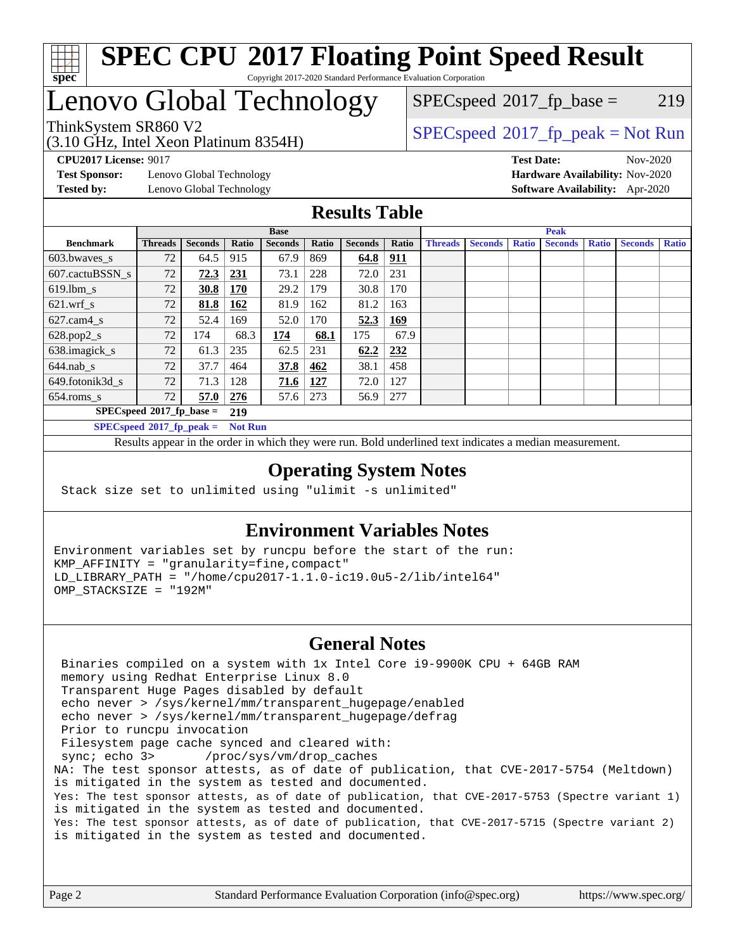

#### **[SPEC CPU](http://www.spec.org/auto/cpu2017/Docs/result-fields.html#SPECCPU2017FloatingPointSpeedResult)[2017 Floating Point Speed Result](http://www.spec.org/auto/cpu2017/Docs/result-fields.html#SPECCPU2017FloatingPointSpeedResult)** Copyright 2017-2020 Standard Performance Evaluation Corporation

### Lenovo Global Technology

(3.10 GHz, Intel Xeon Platinum 8354H)

 $SPECspeed^{\circledcirc}2017_fp\_base = 219$  $SPECspeed^{\circledcirc}2017_fp\_base = 219$ 

### ThinkSystem SR860 V2<br>  $(3.10 \text{ GHz, Intel Yoon Plotinum } 8354 \text{H})$  [SPECspeed](http://www.spec.org/auto/cpu2017/Docs/result-fields.html#SPECspeed2017fppeak)<sup>®</sup>[2017\\_fp\\_peak = N](http://www.spec.org/auto/cpu2017/Docs/result-fields.html#SPECspeed2017fppeak)ot Run

**[Test Sponsor:](http://www.spec.org/auto/cpu2017/Docs/result-fields.html#TestSponsor)** Lenovo Global Technology **[Hardware Availability:](http://www.spec.org/auto/cpu2017/Docs/result-fields.html#HardwareAvailability)** Nov-2020 **[Tested by:](http://www.spec.org/auto/cpu2017/Docs/result-fields.html#Testedby)** Lenovo Global Technology **[Software Availability:](http://www.spec.org/auto/cpu2017/Docs/result-fields.html#SoftwareAvailability)** Apr-2020

**[CPU2017 License:](http://www.spec.org/auto/cpu2017/Docs/result-fields.html#CPU2017License)** 9017 **[Test Date:](http://www.spec.org/auto/cpu2017/Docs/result-fields.html#TestDate)** Nov-2020

#### **[Results Table](http://www.spec.org/auto/cpu2017/Docs/result-fields.html#ResultsTable)**

|                             | <b>Base</b>    |                |                |                |       | <b>Peak</b>    |            |                |                |              |                |              |                |              |
|-----------------------------|----------------|----------------|----------------|----------------|-------|----------------|------------|----------------|----------------|--------------|----------------|--------------|----------------|--------------|
| <b>Benchmark</b>            | <b>Threads</b> | <b>Seconds</b> | Ratio          | <b>Seconds</b> | Ratio | <b>Seconds</b> | Ratio      | <b>Threads</b> | <b>Seconds</b> | <b>Ratio</b> | <b>Seconds</b> | <b>Ratio</b> | <b>Seconds</b> | <b>Ratio</b> |
| 603.bwayes s                | 72             | 64.5           | 915            | 67.9           | 869   | 64.8           | <u>911</u> |                |                |              |                |              |                |              |
| 607.cactuBSSN s             | 72             | 72.3           | 231            | 73.1           | 228   | 72.0           | 231        |                |                |              |                |              |                |              |
| $619.1$ bm s                | 72             | 30.8           | <b>170</b>     | 29.2           | 179   | 30.8           | 170        |                |                |              |                |              |                |              |
| $621.wrf$ s                 | 72             | 81.8           | <u>162</u>     | 81.9           | 162   | 81.2           | 163        |                |                |              |                |              |                |              |
| $627$ .cam4 s               | 72             | 52.4           | 169            | 52.0           | 170   | 52.3           | <u>169</u> |                |                |              |                |              |                |              |
| $628.pop2_s$                | 72             | 174            | 68.3           | 174            | 68.1  | 175            | 67.9       |                |                |              |                |              |                |              |
| 638.imagick_s               | 72             | 61.3           | 235            | 62.5           | 231   | 62.2           | 232        |                |                |              |                |              |                |              |
| $644$ .nab s                | 72             | 37.7           | 464            | 37.8           | 462   | 38.1           | 458        |                |                |              |                |              |                |              |
| 649.fotonik3d s             | 72             | 71.3           | 128            | 71.6           | 127   | 72.0           | 127        |                |                |              |                |              |                |              |
| $654$ .roms_s               | 72             | 57.0           | 276            | 57.6           | 273   | 56.9           | 277        |                |                |              |                |              |                |              |
| $SPECspeed*2017_fp\_base =$ |                |                | 219            |                |       |                |            |                |                |              |                |              |                |              |
| $SPECspeed*2017_fp\_peak =$ |                |                | <b>Not Run</b> |                |       |                |            |                |                |              |                |              |                |              |

Results appear in the [order in which they were run.](http://www.spec.org/auto/cpu2017/Docs/result-fields.html#RunOrder) Bold underlined text [indicates a median measurement](http://www.spec.org/auto/cpu2017/Docs/result-fields.html#Median).

#### **[Operating System Notes](http://www.spec.org/auto/cpu2017/Docs/result-fields.html#OperatingSystemNotes)**

Stack size set to unlimited using "ulimit -s unlimited"

#### **[Environment Variables Notes](http://www.spec.org/auto/cpu2017/Docs/result-fields.html#EnvironmentVariablesNotes)**

Environment variables set by runcpu before the start of the run: KMP\_AFFINITY = "granularity=fine,compact" LD\_LIBRARY\_PATH = "/home/cpu2017-1.1.0-ic19.0u5-2/lib/intel64" OMP\_STACKSIZE = "192M"

#### **[General Notes](http://www.spec.org/auto/cpu2017/Docs/result-fields.html#GeneralNotes)**

 Binaries compiled on a system with 1x Intel Core i9-9900K CPU + 64GB RAM memory using Redhat Enterprise Linux 8.0 Transparent Huge Pages disabled by default echo never > /sys/kernel/mm/transparent\_hugepage/enabled echo never > /sys/kernel/mm/transparent\_hugepage/defrag Prior to runcpu invocation Filesystem page cache synced and cleared with: sync; echo 3> /proc/sys/vm/drop\_caches NA: The test sponsor attests, as of date of publication, that CVE-2017-5754 (Meltdown) is mitigated in the system as tested and documented. Yes: The test sponsor attests, as of date of publication, that CVE-2017-5753 (Spectre variant 1) is mitigated in the system as tested and documented. Yes: The test sponsor attests, as of date of publication, that CVE-2017-5715 (Spectre variant 2) is mitigated in the system as tested and documented.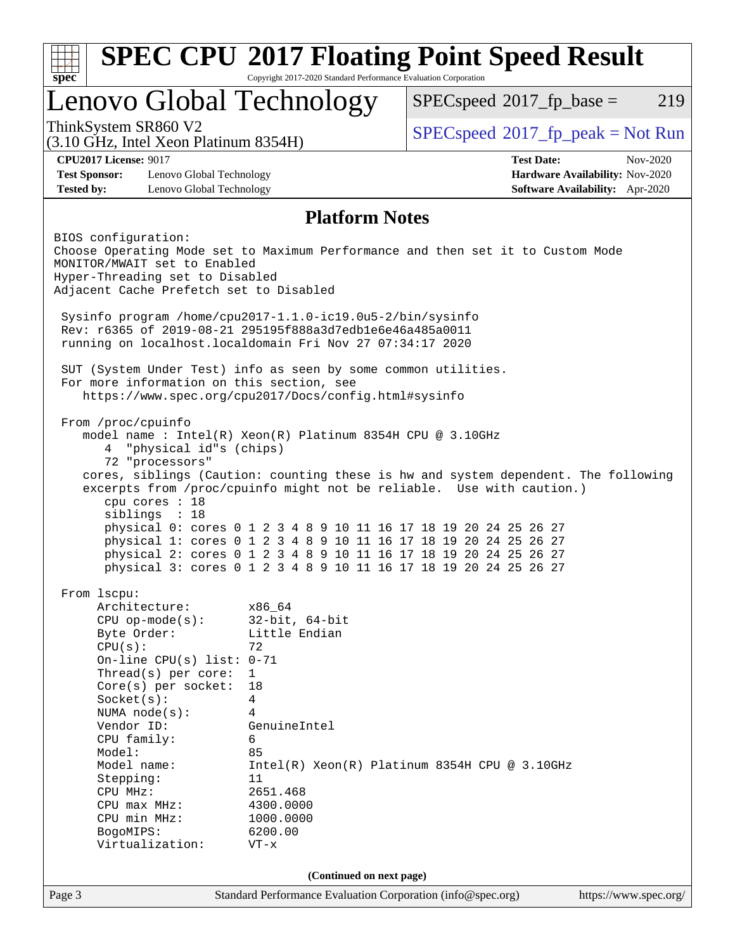| <b>SPEC CPU®2017 Floating Point Speed Result</b><br>Copyright 2017-2020 Standard Performance Evaluation Corporation<br>$spec^*$ |                                                                                                                                                                                                                                                                                                                                                   |                                                                                                                                                                                      |                                                                                                                                                                                                                                                                                                                                                                                                                                             |                                                                    |  |  |
|---------------------------------------------------------------------------------------------------------------------------------|---------------------------------------------------------------------------------------------------------------------------------------------------------------------------------------------------------------------------------------------------------------------------------------------------------------------------------------------------|--------------------------------------------------------------------------------------------------------------------------------------------------------------------------------------|---------------------------------------------------------------------------------------------------------------------------------------------------------------------------------------------------------------------------------------------------------------------------------------------------------------------------------------------------------------------------------------------------------------------------------------------|--------------------------------------------------------------------|--|--|
|                                                                                                                                 | Lenovo Global Technology                                                                                                                                                                                                                                                                                                                          |                                                                                                                                                                                      | $SPEC speed^{\circ}2017\_fp\_base =$                                                                                                                                                                                                                                                                                                                                                                                                        | 219                                                                |  |  |
|                                                                                                                                 | ThinkSystem SR860 V2<br>(3.10 GHz, Intel Xeon Platinum 8354H)                                                                                                                                                                                                                                                                                     |                                                                                                                                                                                      | $SPEC speed^{\circ}2017\_fp\_peak = Not Run$                                                                                                                                                                                                                                                                                                                                                                                                |                                                                    |  |  |
|                                                                                                                                 | <b>CPU2017 License: 9017</b>                                                                                                                                                                                                                                                                                                                      |                                                                                                                                                                                      | <b>Test Date:</b>                                                                                                                                                                                                                                                                                                                                                                                                                           | Nov-2020                                                           |  |  |
| <b>Test Sponsor:</b><br><b>Tested by:</b>                                                                                       | Lenovo Global Technology<br>Lenovo Global Technology                                                                                                                                                                                                                                                                                              |                                                                                                                                                                                      |                                                                                                                                                                                                                                                                                                                                                                                                                                             | Hardware Availability: Nov-2020<br>Software Availability: Apr-2020 |  |  |
|                                                                                                                                 |                                                                                                                                                                                                                                                                                                                                                   | <b>Platform Notes</b>                                                                                                                                                                |                                                                                                                                                                                                                                                                                                                                                                                                                                             |                                                                    |  |  |
|                                                                                                                                 | BIOS configuration:<br>MONITOR/MWAIT set to Enabled<br>Hyper-Threading set to Disabled<br>Adjacent Cache Prefetch set to Disabled                                                                                                                                                                                                                 | Sysinfo program /home/cpu2017-1.1.0-ic19.0u5-2/bin/sysinfo<br>Rev: r6365 of 2019-08-21 295195f888a3d7edble6e46a485a0011                                                              | Choose Operating Mode set to Maximum Performance and then set it to Custom Mode                                                                                                                                                                                                                                                                                                                                                             |                                                                    |  |  |
|                                                                                                                                 | For more information on this section, see                                                                                                                                                                                                                                                                                                         | running on localhost.localdomain Fri Nov 27 07:34:17 2020<br>SUT (System Under Test) info as seen by some common utilities.<br>https://www.spec.org/cpu2017/Docs/config.html#sysinfo |                                                                                                                                                                                                                                                                                                                                                                                                                                             |                                                                    |  |  |
|                                                                                                                                 | From /proc/cpuinfo<br>"physical id"s (chips)<br>4<br>72 "processors"<br>cpu cores : 18<br>siblings : 18                                                                                                                                                                                                                                           | model name : Intel(R) Xeon(R) Platinum 8354H CPU @ 3.10GHz                                                                                                                           | cores, siblings (Caution: counting these is hw and system dependent. The following<br>excerpts from /proc/cpuinfo might not be reliable. Use with caution.)<br>physical 0: cores 0 1 2 3 4 8 9 10 11 16 17 18 19 20 24 25 26 27<br>physical 1: cores 0 1 2 3 4 8 9 10 11 16 17 18 19 20 24 25 26 27<br>physical 2: cores 0 1 2 3 4 8 9 10 11 16 17 18 19 20 24 25 26 27<br>physical 3: cores 0 1 2 3 4 8 9 10 11 16 17 18 19 20 24 25 26 27 |                                                                    |  |  |
|                                                                                                                                 | From 1scpu:<br>Architecture:<br>$CPU$ op-mode( $s$ ):<br>Byte Order:<br>CPU(s):<br>On-line CPU(s) list: $0-71$<br>Thread(s) per core:<br>$Core(s)$ per socket:<br>Socket(s):<br>NUMA node(s):<br>Vendor ID:<br>CPU family:<br>Model:<br>Model name:<br>Stepping:<br>CPU MHz:<br>$CPU$ max $MHz$ :<br>CPU min MHz:<br>BogoMIPS:<br>Virtualization: | x86_64<br>$32$ -bit, $64$ -bit<br>Little Endian<br>72<br>$\mathbf{1}$<br>18<br>4<br>4<br>GenuineIntel<br>6<br>85<br>11<br>2651.468<br>4300.0000<br>1000.0000<br>6200.00<br>$VT - x$  | $Intel(R) Xeon(R) Platinum 8354H CPU @ 3.10GHz$                                                                                                                                                                                                                                                                                                                                                                                             |                                                                    |  |  |
|                                                                                                                                 |                                                                                                                                                                                                                                                                                                                                                   | (Continued on next page)                                                                                                                                                             |                                                                                                                                                                                                                                                                                                                                                                                                                                             |                                                                    |  |  |
| Page 3                                                                                                                          |                                                                                                                                                                                                                                                                                                                                                   | Standard Performance Evaluation Corporation (info@spec.org)                                                                                                                          |                                                                                                                                                                                                                                                                                                                                                                                                                                             | https://www.spec.org/                                              |  |  |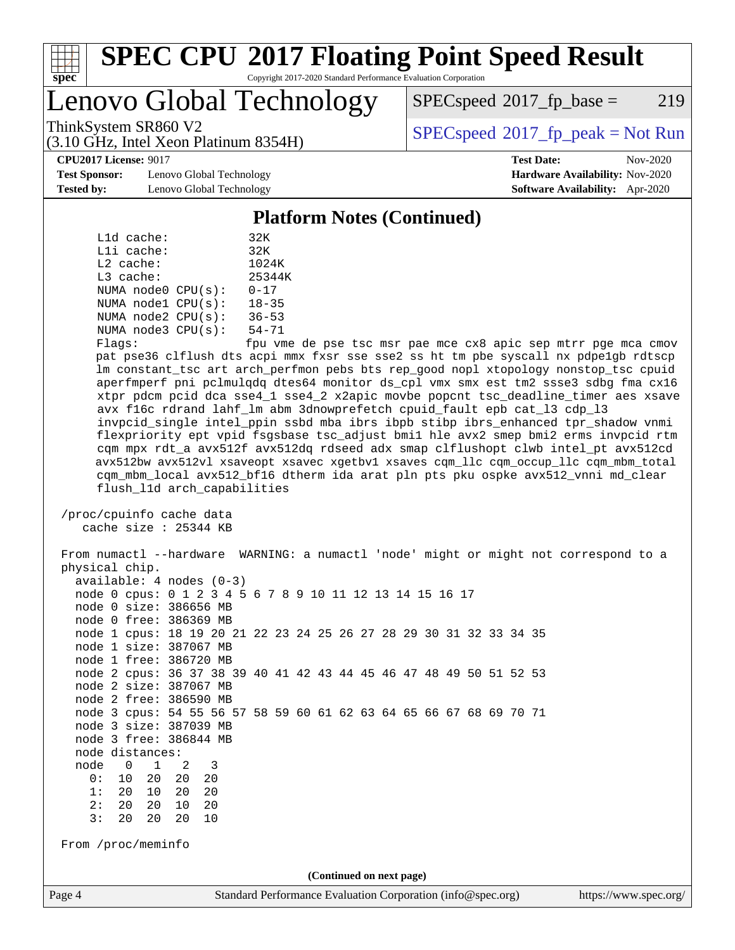

#### **[SPEC CPU](http://www.spec.org/auto/cpu2017/Docs/result-fields.html#SPECCPU2017FloatingPointSpeedResult)[2017 Floating Point Speed Result](http://www.spec.org/auto/cpu2017/Docs/result-fields.html#SPECCPU2017FloatingPointSpeedResult)** Copyright 2017-2020 Standard Performance Evaluation Corporation

### Lenovo Global Technology

 $SPEC speed^{\circ}2017\_fp\_base = 219$ 

(3.10 GHz, Intel Xeon Platinum 8354H)

ThinkSystem SR860 V2  $\begin{array}{c} \text{SPEC speed} \textdegree 2017\_fp\_peak = Not Run \end{array}$ 

**[CPU2017 License:](http://www.spec.org/auto/cpu2017/Docs/result-fields.html#CPU2017License)** 9017 **[Test Date:](http://www.spec.org/auto/cpu2017/Docs/result-fields.html#TestDate)** Nov-2020

**[Test Sponsor:](http://www.spec.org/auto/cpu2017/Docs/result-fields.html#TestSponsor)** Lenovo Global Technology **[Hardware Availability:](http://www.spec.org/auto/cpu2017/Docs/result-fields.html#HardwareAvailability)** Nov-2020 **[Tested by:](http://www.spec.org/auto/cpu2017/Docs/result-fields.html#Testedby)** Lenovo Global Technology **[Software Availability:](http://www.spec.org/auto/cpu2017/Docs/result-fields.html#SoftwareAvailability)** Apr-2020

#### **[Platform Notes \(Continued\)](http://www.spec.org/auto/cpu2017/Docs/result-fields.html#PlatformNotes)**

|             | L1d cache: |                         | 32K       |
|-------------|------------|-------------------------|-----------|
|             | Lli cache: |                         | 32K       |
| $L2$ cache: |            |                         | 1024K     |
| L3 cache:   |            |                         | 25344K    |
|             |            | NUMA $node0$ $CPU(s)$ : | $0 - 17$  |
|             |            | NUMA nodel CPU(s):      | $18 - 35$ |
|             |            | NUMA $node2$ $CPU(s)$ : | $36 - 53$ |
|             |            | NUMA $node3$ $CPU(s)$ : | $54 - 71$ |
| --          |            |                         | $\sim$    |

 Flags: fpu vme de pse tsc msr pae mce cx8 apic sep mtrr pge mca cmov pat pse36 clflush dts acpi mmx fxsr sse sse2 ss ht tm pbe syscall nx pdpe1gb rdtscp lm constant\_tsc art arch\_perfmon pebs bts rep\_good nopl xtopology nonstop\_tsc cpuid aperfmperf pni pclmulqdq dtes64 monitor ds\_cpl vmx smx est tm2 ssse3 sdbg fma cx16 xtpr pdcm pcid dca sse4\_1 sse4\_2 x2apic movbe popcnt tsc\_deadline\_timer aes xsave avx f16c rdrand lahf\_lm abm 3dnowprefetch cpuid\_fault epb cat\_l3 cdp\_l3 invpcid\_single intel\_ppin ssbd mba ibrs ibpb stibp ibrs\_enhanced tpr\_shadow vnmi flexpriority ept vpid fsgsbase tsc\_adjust bmi1 hle avx2 smep bmi2 erms invpcid rtm cqm mpx rdt\_a avx512f avx512dq rdseed adx smap clflushopt clwb intel\_pt avx512cd avx512bw avx512vl xsaveopt xsavec xgetbv1 xsaves cqm\_llc cqm\_occup\_llc cqm\_mbm\_total cqm\_mbm\_local avx512\_bf16 dtherm ida arat pln pts pku ospke avx512\_vnni md\_clear flush\_l1d arch\_capabilities

 /proc/cpuinfo cache data cache size : 25344 KB

Page 4 Standard Performance Evaluation Corporation [\(info@spec.org\)](mailto:info@spec.org) <https://www.spec.org/> From numactl --hardware WARNING: a numactl 'node' might or might not correspond to a physical chip. available: 4 nodes (0-3) node 0 cpus: 0 1 2 3 4 5 6 7 8 9 10 11 12 13 14 15 16 17 node 0 size: 386656 MB node 0 free: 386369 MB node 1 cpus: 18 19 20 21 22 23 24 25 26 27 28 29 30 31 32 33 34 35 node 1 size: 387067 MB node 1 free: 386720 MB node 2 cpus: 36 37 38 39 40 41 42 43 44 45 46 47 48 49 50 51 52 53 node 2 size: 387067 MB node 2 free: 386590 MB node 3 cpus: 54 55 56 57 58 59 60 61 62 63 64 65 66 67 68 69 70 71 node 3 size: 387039 MB node 3 free: 386844 MB node distances: node 0 1 2 3 0: 10 20 20 20 1: 20 10 20 20 2: 20 20 10 20 3: 20 20 20 10 From /proc/meminfo **(Continued on next page)**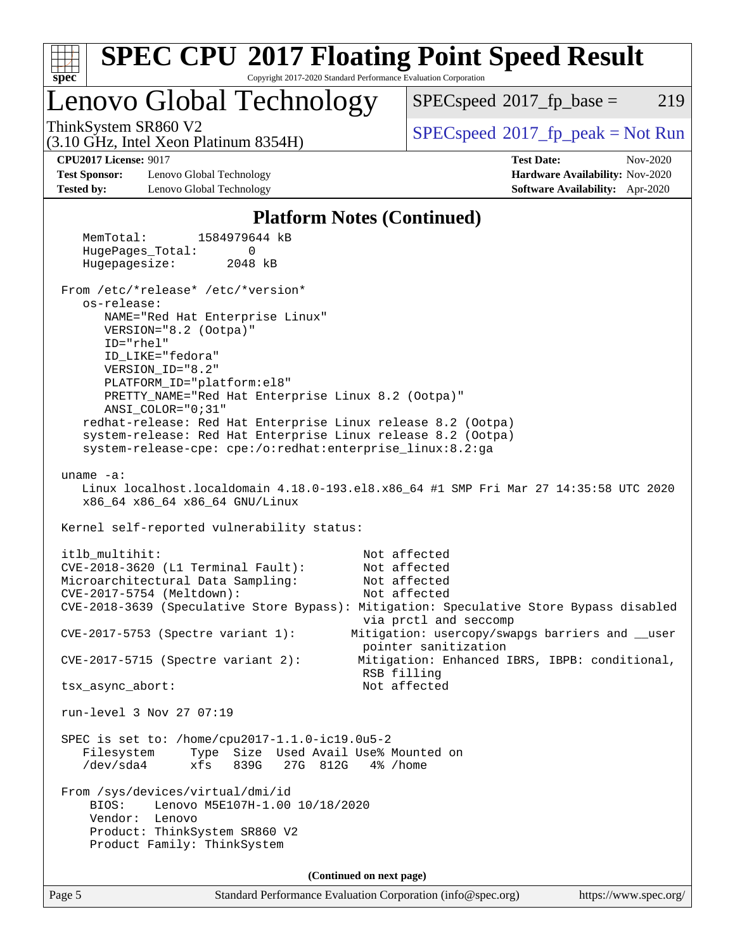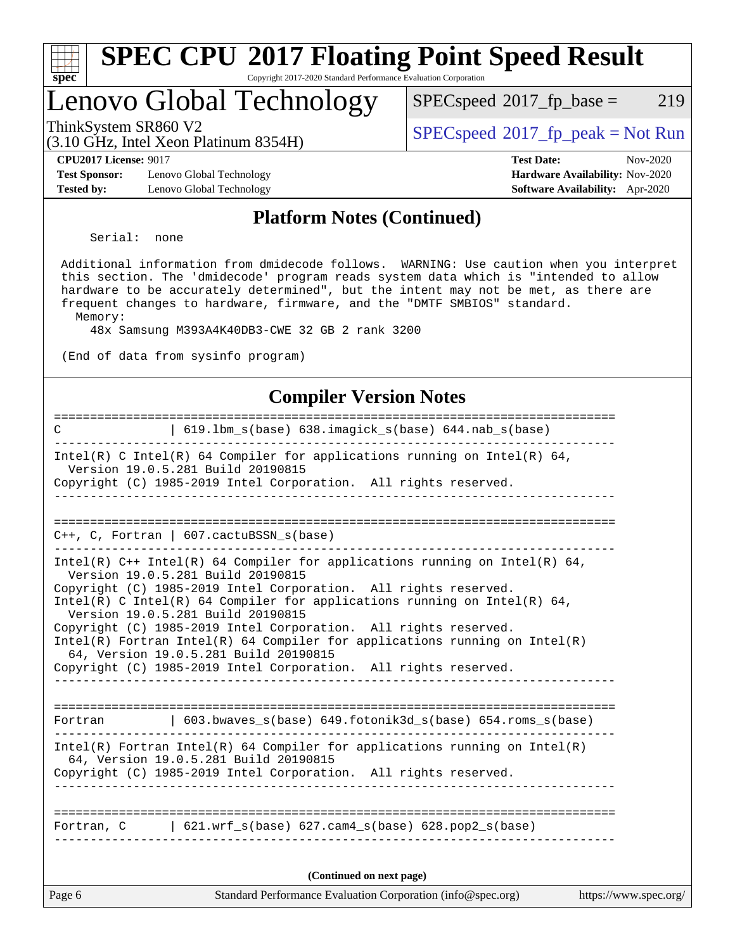| Sì<br>эe<br>C. |  |  |  |  |
|----------------|--|--|--|--|

#### **[SPEC CPU](http://www.spec.org/auto/cpu2017/Docs/result-fields.html#SPECCPU2017FloatingPointSpeedResult)[2017 Floating Point Speed Result](http://www.spec.org/auto/cpu2017/Docs/result-fields.html#SPECCPU2017FloatingPointSpeedResult)** Copyright 2017-2020 Standard Performance Evaluation Corporation

### Lenovo Global Technology

 $SPECspeed^{\circledcirc}2017_fp\_base = 219$  $SPECspeed^{\circledcirc}2017_fp\_base = 219$ 

(3.10 GHz, Intel Xeon Platinum 8354H)

ThinkSystem SR860 V2<br>  $(3.10 \text{ GHz, Intel Yoon Plotinum } 8354 \text{H})$  [SPECspeed](http://www.spec.org/auto/cpu2017/Docs/result-fields.html#SPECspeed2017fppeak)<sup>®</sup>[2017\\_fp\\_peak = N](http://www.spec.org/auto/cpu2017/Docs/result-fields.html#SPECspeed2017fppeak)ot Run

**[Test Sponsor:](http://www.spec.org/auto/cpu2017/Docs/result-fields.html#TestSponsor)** Lenovo Global Technology **[Hardware Availability:](http://www.spec.org/auto/cpu2017/Docs/result-fields.html#HardwareAvailability)** Nov-2020 **[Tested by:](http://www.spec.org/auto/cpu2017/Docs/result-fields.html#Testedby)** Lenovo Global Technology **[Software Availability:](http://www.spec.org/auto/cpu2017/Docs/result-fields.html#SoftwareAvailability)** Apr-2020

**[CPU2017 License:](http://www.spec.org/auto/cpu2017/Docs/result-fields.html#CPU2017License)** 9017 **[Test Date:](http://www.spec.org/auto/cpu2017/Docs/result-fields.html#TestDate)** Nov-2020

#### **[Platform Notes \(Continued\)](http://www.spec.org/auto/cpu2017/Docs/result-fields.html#PlatformNotes)**

Serial: none

 Additional information from dmidecode follows. WARNING: Use caution when you interpret this section. The 'dmidecode' program reads system data which is "intended to allow hardware to be accurately determined", but the intent may not be met, as there are frequent changes to hardware, firmware, and the "DMTF SMBIOS" standard. Memory:

48x Samsung M393A4K40DB3-CWE 32 GB 2 rank 3200

(End of data from sysinfo program)

#### **[Compiler Version Notes](http://www.spec.org/auto/cpu2017/Docs/result-fields.html#CompilerVersionNotes)**

| Page 6      | Standard Performance Evaluation Corporation (info@spec.org)                                                       | https://www.spec.org/ |
|-------------|-------------------------------------------------------------------------------------------------------------------|-----------------------|
|             | (Continued on next page)                                                                                          |                       |
|             | Fortran, $C = \begin{bmatrix} 621. wrf_s(base) & 627. cam4_s(base) & 628. pop2_s(base) \end{bmatrix}$             |                       |
|             |                                                                                                                   |                       |
|             | 64, Version 19.0.5.281 Build 20190815<br>Copyright (C) 1985-2019 Intel Corporation. All rights reserved.          |                       |
|             | $Intel(R)$ Fortran Intel(R) 64 Compiler for applications running on Intel(R)                                      |                       |
|             | Fortran   603.bwaves_s(base) 649.fotonik3d_s(base) 654.roms_s(base)                                               |                       |
|             | 64, Version 19.0.5.281 Build 20190815<br>Copyright (C) 1985-2019 Intel Corporation. All rights reserved.          |                       |
|             | Intel(R) Fortran Intel(R) 64 Compiler for applications running on $Intel(R)$                                      |                       |
|             | Copyright (C) 1985-2019 Intel Corporation. All rights reserved.                                                   |                       |
|             | Intel(R) C Intel(R) 64 Compiler for applications running on Intel(R) 64,<br>Version 19.0.5.281 Build 20190815     |                       |
|             | Copyright (C) 1985-2019 Intel Corporation. All rights reserved.                                                   |                       |
|             | Intel(R) $C++$ Intel(R) 64 Compiler for applications running on Intel(R) 64,<br>Version 19.0.5.281 Build 20190815 |                       |
|             | $C_{++}$ , C, Fortran   607.cactuBSSN_s(base)                                                                     |                       |
|             |                                                                                                                   |                       |
|             | Copyright (C) 1985-2019 Intel Corporation. All rights reserved.<br>_ _ _ _ _ _ _ _ _ _ _                          |                       |
|             | Intel(R) C Intel(R) 64 Compiler for applications running on Intel(R) 64,<br>Version 19.0.5.281 Build 20190815     |                       |
|             |                                                                                                                   |                       |
| $\mathbf C$ | 619.1bm_s(base) 638.imagick_s(base) 644.nab_s(base)                                                               |                       |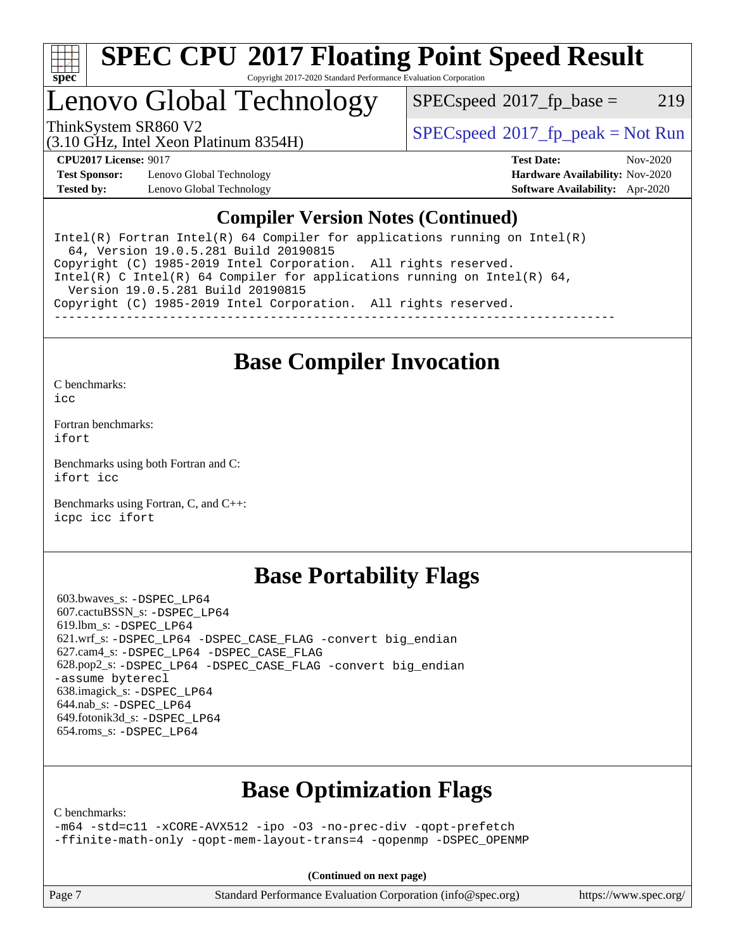

# **[SPEC CPU](http://www.spec.org/auto/cpu2017/Docs/result-fields.html#SPECCPU2017FloatingPointSpeedResult)[2017 Floating Point Speed Result](http://www.spec.org/auto/cpu2017/Docs/result-fields.html#SPECCPU2017FloatingPointSpeedResult)**

Copyright 2017-2020 Standard Performance Evaluation Corporation

### Lenovo Global Technology

 $SPEC speed^{\circ}2017\_fp\_base = 219$ 

(3.10 GHz, Intel Xeon Platinum 8354H)

ThinkSystem SR860 V2  $\begin{array}{c} \text{SPEC speed} \textdegree 2017\_fp\_peak = Not Run \end{array}$ 

**[Test Sponsor:](http://www.spec.org/auto/cpu2017/Docs/result-fields.html#TestSponsor)** Lenovo Global Technology **[Hardware Availability:](http://www.spec.org/auto/cpu2017/Docs/result-fields.html#HardwareAvailability)** Nov-2020 **[Tested by:](http://www.spec.org/auto/cpu2017/Docs/result-fields.html#Testedby)** Lenovo Global Technology **[Software Availability:](http://www.spec.org/auto/cpu2017/Docs/result-fields.html#SoftwareAvailability)** Apr-2020

**[CPU2017 License:](http://www.spec.org/auto/cpu2017/Docs/result-fields.html#CPU2017License)** 9017 **[Test Date:](http://www.spec.org/auto/cpu2017/Docs/result-fields.html#TestDate)** Nov-2020

### **[Compiler Version Notes \(Continued\)](http://www.spec.org/auto/cpu2017/Docs/result-fields.html#CompilerVersionNotes)**

Intel(R) Fortran Intel(R)  $64$  Compiler for applications running on Intel(R) 64, Version 19.0.5.281 Build 20190815 Copyright (C) 1985-2019 Intel Corporation. All rights reserved. Intel(R) C Intel(R) 64 Compiler for applications running on Intel(R) 64, Version 19.0.5.281 Build 20190815 Copyright (C) 1985-2019 Intel Corporation. All rights reserved. ------------------------------------------------------------------------------

### **[Base Compiler Invocation](http://www.spec.org/auto/cpu2017/Docs/result-fields.html#BaseCompilerInvocation)**

[C benchmarks](http://www.spec.org/auto/cpu2017/Docs/result-fields.html#Cbenchmarks):

[icc](http://www.spec.org/cpu2017/results/res2020q4/cpu2017-20201207-24532.flags.html#user_CCbase_intel_icc_66fc1ee009f7361af1fbd72ca7dcefbb700085f36577c54f309893dd4ec40d12360134090235512931783d35fd58c0460139e722d5067c5574d8eaf2b3e37e92)

[Fortran benchmarks](http://www.spec.org/auto/cpu2017/Docs/result-fields.html#Fortranbenchmarks): [ifort](http://www.spec.org/cpu2017/results/res2020q4/cpu2017-20201207-24532.flags.html#user_FCbase_intel_ifort_8111460550e3ca792625aed983ce982f94888b8b503583aa7ba2b8303487b4d8a21a13e7191a45c5fd58ff318f48f9492884d4413fa793fd88dd292cad7027ca)

[Benchmarks using both Fortran and C](http://www.spec.org/auto/cpu2017/Docs/result-fields.html#BenchmarksusingbothFortranandC): [ifort](http://www.spec.org/cpu2017/results/res2020q4/cpu2017-20201207-24532.flags.html#user_CC_FCbase_intel_ifort_8111460550e3ca792625aed983ce982f94888b8b503583aa7ba2b8303487b4d8a21a13e7191a45c5fd58ff318f48f9492884d4413fa793fd88dd292cad7027ca) [icc](http://www.spec.org/cpu2017/results/res2020q4/cpu2017-20201207-24532.flags.html#user_CC_FCbase_intel_icc_66fc1ee009f7361af1fbd72ca7dcefbb700085f36577c54f309893dd4ec40d12360134090235512931783d35fd58c0460139e722d5067c5574d8eaf2b3e37e92)

[Benchmarks using Fortran, C, and C++:](http://www.spec.org/auto/cpu2017/Docs/result-fields.html#BenchmarksusingFortranCandCXX) [icpc](http://www.spec.org/cpu2017/results/res2020q4/cpu2017-20201207-24532.flags.html#user_CC_CXX_FCbase_intel_icpc_c510b6838c7f56d33e37e94d029a35b4a7bccf4766a728ee175e80a419847e808290a9b78be685c44ab727ea267ec2f070ec5dc83b407c0218cded6866a35d07) [icc](http://www.spec.org/cpu2017/results/res2020q4/cpu2017-20201207-24532.flags.html#user_CC_CXX_FCbase_intel_icc_66fc1ee009f7361af1fbd72ca7dcefbb700085f36577c54f309893dd4ec40d12360134090235512931783d35fd58c0460139e722d5067c5574d8eaf2b3e37e92) [ifort](http://www.spec.org/cpu2017/results/res2020q4/cpu2017-20201207-24532.flags.html#user_CC_CXX_FCbase_intel_ifort_8111460550e3ca792625aed983ce982f94888b8b503583aa7ba2b8303487b4d8a21a13e7191a45c5fd58ff318f48f9492884d4413fa793fd88dd292cad7027ca)

### **[Base Portability Flags](http://www.spec.org/auto/cpu2017/Docs/result-fields.html#BasePortabilityFlags)**

 603.bwaves\_s: [-DSPEC\\_LP64](http://www.spec.org/cpu2017/results/res2020q4/cpu2017-20201207-24532.flags.html#suite_basePORTABILITY603_bwaves_s_DSPEC_LP64) 607.cactuBSSN\_s: [-DSPEC\\_LP64](http://www.spec.org/cpu2017/results/res2020q4/cpu2017-20201207-24532.flags.html#suite_basePORTABILITY607_cactuBSSN_s_DSPEC_LP64) 619.lbm\_s: [-DSPEC\\_LP64](http://www.spec.org/cpu2017/results/res2020q4/cpu2017-20201207-24532.flags.html#suite_basePORTABILITY619_lbm_s_DSPEC_LP64) 621.wrf\_s: [-DSPEC\\_LP64](http://www.spec.org/cpu2017/results/res2020q4/cpu2017-20201207-24532.flags.html#suite_basePORTABILITY621_wrf_s_DSPEC_LP64) [-DSPEC\\_CASE\\_FLAG](http://www.spec.org/cpu2017/results/res2020q4/cpu2017-20201207-24532.flags.html#b621.wrf_s_baseCPORTABILITY_DSPEC_CASE_FLAG) [-convert big\\_endian](http://www.spec.org/cpu2017/results/res2020q4/cpu2017-20201207-24532.flags.html#user_baseFPORTABILITY621_wrf_s_convert_big_endian_c3194028bc08c63ac5d04de18c48ce6d347e4e562e8892b8bdbdc0214820426deb8554edfa529a3fb25a586e65a3d812c835984020483e7e73212c4d31a38223) 627.cam4\_s: [-DSPEC\\_LP64](http://www.spec.org/cpu2017/results/res2020q4/cpu2017-20201207-24532.flags.html#suite_basePORTABILITY627_cam4_s_DSPEC_LP64) [-DSPEC\\_CASE\\_FLAG](http://www.spec.org/cpu2017/results/res2020q4/cpu2017-20201207-24532.flags.html#b627.cam4_s_baseCPORTABILITY_DSPEC_CASE_FLAG) 628.pop2\_s: [-DSPEC\\_LP64](http://www.spec.org/cpu2017/results/res2020q4/cpu2017-20201207-24532.flags.html#suite_basePORTABILITY628_pop2_s_DSPEC_LP64) [-DSPEC\\_CASE\\_FLAG](http://www.spec.org/cpu2017/results/res2020q4/cpu2017-20201207-24532.flags.html#b628.pop2_s_baseCPORTABILITY_DSPEC_CASE_FLAG) [-convert big\\_endian](http://www.spec.org/cpu2017/results/res2020q4/cpu2017-20201207-24532.flags.html#user_baseFPORTABILITY628_pop2_s_convert_big_endian_c3194028bc08c63ac5d04de18c48ce6d347e4e562e8892b8bdbdc0214820426deb8554edfa529a3fb25a586e65a3d812c835984020483e7e73212c4d31a38223) [-assume byterecl](http://www.spec.org/cpu2017/results/res2020q4/cpu2017-20201207-24532.flags.html#user_baseFPORTABILITY628_pop2_s_assume_byterecl_7e47d18b9513cf18525430bbf0f2177aa9bf368bc7a059c09b2c06a34b53bd3447c950d3f8d6c70e3faf3a05c8557d66a5798b567902e8849adc142926523472) 638.imagick\_s: [-DSPEC\\_LP64](http://www.spec.org/cpu2017/results/res2020q4/cpu2017-20201207-24532.flags.html#suite_basePORTABILITY638_imagick_s_DSPEC_LP64) 644.nab\_s: [-DSPEC\\_LP64](http://www.spec.org/cpu2017/results/res2020q4/cpu2017-20201207-24532.flags.html#suite_basePORTABILITY644_nab_s_DSPEC_LP64) 649.fotonik3d\_s: [-DSPEC\\_LP64](http://www.spec.org/cpu2017/results/res2020q4/cpu2017-20201207-24532.flags.html#suite_basePORTABILITY649_fotonik3d_s_DSPEC_LP64) 654.roms\_s: [-DSPEC\\_LP64](http://www.spec.org/cpu2017/results/res2020q4/cpu2017-20201207-24532.flags.html#suite_basePORTABILITY654_roms_s_DSPEC_LP64)

### **[Base Optimization Flags](http://www.spec.org/auto/cpu2017/Docs/result-fields.html#BaseOptimizationFlags)**

[C benchmarks](http://www.spec.org/auto/cpu2017/Docs/result-fields.html#Cbenchmarks):

[-m64](http://www.spec.org/cpu2017/results/res2020q4/cpu2017-20201207-24532.flags.html#user_CCbase_m64-icc) [-std=c11](http://www.spec.org/cpu2017/results/res2020q4/cpu2017-20201207-24532.flags.html#user_CCbase_std-icc-std_0e1c27790398a4642dfca32ffe6c27b5796f9c2d2676156f2e42c9c44eaad0c049b1cdb667a270c34d979996257aeb8fc440bfb01818dbc9357bd9d174cb8524) [-xCORE-AVX512](http://www.spec.org/cpu2017/results/res2020q4/cpu2017-20201207-24532.flags.html#user_CCbase_f-xCORE-AVX512) [-ipo](http://www.spec.org/cpu2017/results/res2020q4/cpu2017-20201207-24532.flags.html#user_CCbase_f-ipo) [-O3](http://www.spec.org/cpu2017/results/res2020q4/cpu2017-20201207-24532.flags.html#user_CCbase_f-O3) [-no-prec-div](http://www.spec.org/cpu2017/results/res2020q4/cpu2017-20201207-24532.flags.html#user_CCbase_f-no-prec-div) [-qopt-prefetch](http://www.spec.org/cpu2017/results/res2020q4/cpu2017-20201207-24532.flags.html#user_CCbase_f-qopt-prefetch) [-ffinite-math-only](http://www.spec.org/cpu2017/results/res2020q4/cpu2017-20201207-24532.flags.html#user_CCbase_f_finite_math_only_cb91587bd2077682c4b38af759c288ed7c732db004271a9512da14a4f8007909a5f1427ecbf1a0fb78ff2a814402c6114ac565ca162485bbcae155b5e4258871) [-qopt-mem-layout-trans=4](http://www.spec.org/cpu2017/results/res2020q4/cpu2017-20201207-24532.flags.html#user_CCbase_f-qopt-mem-layout-trans_fa39e755916c150a61361b7846f310bcdf6f04e385ef281cadf3647acec3f0ae266d1a1d22d972a7087a248fd4e6ca390a3634700869573d231a252c784941a8) [-qopenmp](http://www.spec.org/cpu2017/results/res2020q4/cpu2017-20201207-24532.flags.html#user_CCbase_qopenmp_16be0c44f24f464004c6784a7acb94aca937f053568ce72f94b139a11c7c168634a55f6653758ddd83bcf7b8463e8028bb0b48b77bcddc6b78d5d95bb1df2967) [-DSPEC\\_OPENMP](http://www.spec.org/cpu2017/results/res2020q4/cpu2017-20201207-24532.flags.html#suite_CCbase_DSPEC_OPENMP)

**(Continued on next page)**

Page 7 Standard Performance Evaluation Corporation [\(info@spec.org\)](mailto:info@spec.org) <https://www.spec.org/>